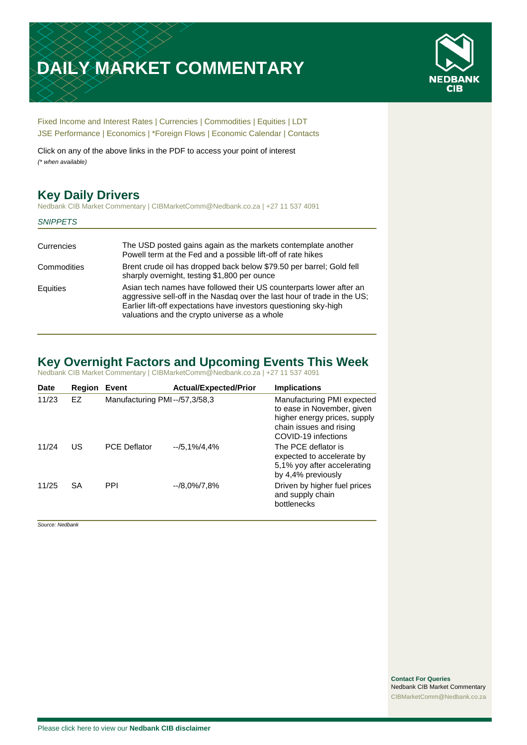# **DAILY MARKET COMMENTARY**



[Fixed Income and Interest Rates](#page-1-0) | [Currencies](#page-2-0) | [Commodities](#page-3-0) [| Equities](#page-4-0) | [LDT](#page-5-0) [JSE Performance](#page-6-0) [| Economics](#page-7-0) | [\\*Foreign Flows](#page-7-0) | [Economic Calendar](#page-8-0) | [Contacts](#page-9-0)

Click on any of the above links in the PDF to access your point of interest *(\* when available)*

## **Key Daily Drivers**

Nedbank CIB Market Commentary | CIBMarketComm@Nedbank.co.za | +27 11 537 4091

#### *SNIPPETS*

| The USD posted gains again as the markets contemplate another<br>Powell term at the Fed and a possible lift-off of rate hikes                                                                                                                                         |
|-----------------------------------------------------------------------------------------------------------------------------------------------------------------------------------------------------------------------------------------------------------------------|
| Brent crude oil has dropped back below \$79.50 per barrel; Gold fell<br>sharply overnight, testing \$1,800 per ounce                                                                                                                                                  |
| Asian tech names have followed their US counterparts lower after an<br>aggressive sell-off in the Nasdag over the last hour of trade in the US;<br>Earlier lift-off expectations have investors questioning sky-high<br>valuations and the crypto universe as a whole |
|                                                                                                                                                                                                                                                                       |

## **Key Overnight Factors and Upcoming Events This Week**

Nedbank CIB Market Commentary | CIBMarketComm@Nedbank.co.za | +27 11 537 4091

| <b>Date</b> | <b>Region</b> | Event                         | <b>Actual/Expected/Prior</b> | <b>Implications</b>                                                                                                                        |
|-------------|---------------|-------------------------------|------------------------------|--------------------------------------------------------------------------------------------------------------------------------------------|
| 11/23       | EZ            | Manufacturing PMI--/57,3/58,3 |                              | Manufacturing PMI expected<br>to ease in November, given<br>higher energy prices, supply<br>chain issues and rising<br>COVID-19 infections |
| 11/24       | US            | <b>PCE Deflator</b>           | $-1/5.1\%/4.4\%$             | The PCE deflator is<br>expected to accelerate by<br>5,1% yoy after accelerating<br>by 4,4% previously                                      |
| 11/25       | <b>SA</b>     | <b>PPI</b>                    | $-$ /8.0%/7.8%               | Driven by higher fuel prices<br>and supply chain<br>bottlenecks                                                                            |

*Source: Nedbank*

**Contact For Queries** Nedbank CIB Market Commentary [CIBMarketComm@Nedbank.co.za](file:///C:/Users/Paul-Rose/AppData/Roaming/Bluecurve/templates/CIBMarketComm@Nedbank.co.za)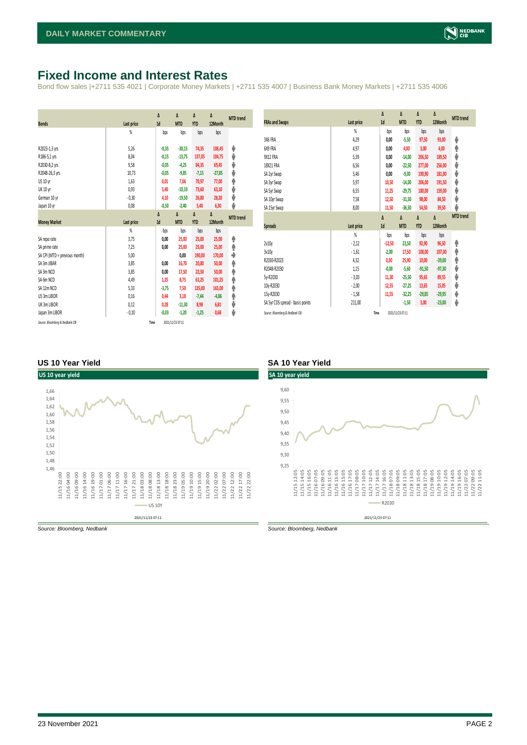## <span id="page-1-0"></span>**Fixed Income and Interest Rates**

Bond flow sales |+2711 535 4021 | Corporate Money Markets | +2711 535 4007 | Business Bank Money Markets | +2711 535 4006

| <b>Bonds</b>                  | Last price     | Δ<br>1d | Δ<br><b>MTD</b> | Δ<br><b>YTD</b> | Δ<br>12Month | <b>MTD</b> trend |
|-------------------------------|----------------|---------|-----------------|-----------------|--------------|------------------|
|                               | $\frac{9}{20}$ | bps     | bps             | bps             | bps          |                  |
| R2023-1,3 yrs                 | 5,26           | $-0,35$ | $-30,15$        | 74,35           | 108,45       | ψ                |
| R186-5,1 yrs                  | 8.04           | $-0,15$ | $-13,75$        | 137,05          | 104,75       | ψ                |
| R2030-8,2 yrs                 | 9,58           | $-0,05$ | $-4,25$         | 84,35           | 69,45        | ψ                |
| R2048-26,3 yrs                | 10,73          | $-0,05$ | $-9,85$         | $-7,15$         | $-27,85$     | ψ                |
| US 10 yr                      | 1,63           | 0,01    | 7,06            | 70,97           | 77,00        | φ                |
| <b>UK 10 yr</b>               | 0,93           | 5,40    | $-10,10$        | 73,60           | 63,10        | ψ                |
| German 10 yr                  | $-0,30$        | 4,10    | $-19,50$        | 26,80           | 28,20        | ψ                |
| Japan 10 yr                   | 0,08           | $-0,50$ | $-2,40$         | 5,40            | 6,30         | ψ                |
|                               |                | Δ       | Δ               | Δ               | Δ            | <b>MTD</b> trend |
| <b>Money Market</b>           | Last price     | 1d      | <b>MTD</b>      | <b>YTD</b>      | 12Month      |                  |
|                               | $\frac{9}{20}$ | bps     | bps             | bps             | bps          |                  |
|                               |                |         |                 |                 |              |                  |
| SA repo rate                  | 3,75           | 0,00    | 25,00           | 25,00           | 25,00        | ۸                |
| SA prime rate                 | 7,25           | 0,00    | 25,00           | 25,00           | 25,00        | Ϋ                |
| SA CPI (MTD = previous month) | 5,00           |         | 0,00            | 190,00          | 170,00       | ٠                |
| SA 3m JIBAR                   | 3,85           | 0,00    | 16,70           | 20,80           | 50,00        |                  |
| SA 3m NCD                     | 3,85           | 0,00    | 17,50           | 22,50           | 50,00        | ۸<br>٠           |
| SA 6m NCD                     | 4,49           | 1,25    | 8,75            | 61,25           | 101,25       | ۸                |
| SA 12m NCD                    | 5.33           | $-3,75$ | 7,50            | 125,00          | 165,00       | ۸                |
| US 3m LIBOR                   | 0,16           | 0,44    | 3,18            | $-7,44$         | $-4,86$      | φ                |
| UK 3m LIBOR                   | 0,12           | 0,28    | $-11,30$        | 8,98            | 6,81         | ψ                |
| Japan 3m LIBOR                | $-0,10$        | $-0,03$ | $-1,20$         | $-1,25$         | 0,68         | ψ                |

| <b>FRAs and Swaps</b>            | Last price     | Δ<br>1d  | Δ<br><b>MTD</b> | Δ<br><b>YTD</b> | Δ<br>12Month | <b>MTD</b> trend |
|----------------------------------|----------------|----------|-----------------|-----------------|--------------|------------------|
|                                  | %              | bps      | bps             | bps             | bps          |                  |
| 3X6 FRA                          | 4,29           | 0,00     | $-5,50$         | 97,50           | 93,00        | ψ                |
| 6X9 FRA                          | 4,97           | 0,00     | 4,00            | 3,00            | 4,00         | ♠                |
| 9X12 FRA                         | 5,39           | 0,00     | $-14,00$        | 206,50          | 189,50       | ψ                |
| 18X21 FRA                        | 6,56           | 0,00     | $-22,50$        | 277,00          | 256,00       | ψ                |
| SA 2yr Swap                      | 5,46           | 0,00     | $-9,00$         | 190,90          | 181,00       | ψ                |
| SA 3yr Swap                      | 5,97           | 10,50    | $-14,00$        | 206,00          | 191,50       | ψ                |
| SA 5yr Swap                      | 6,55           | 11,25    | $-29,75$        | 180,00          | 159,00       | ψ                |
| SA 10yr Swap                     | 7,58           | 12,50    | $-31,50$        | 98,00           | 84,50        | ψ                |
| SA 15yr Swap                     | 8,00           | 11,50    | $-36,50$        | 54,50           | 39,50        | J                |
|                                  |                |          |                 |                 |              |                  |
|                                  |                | Δ        | Δ               | Δ               | Δ            | <b>MTD</b> trend |
| <b>Spreads</b>                   | Last price     | 1d       | <b>MTD</b>      | <b>YTD</b>      | 12Month      |                  |
|                                  | $\frac{9}{20}$ | bps      | bps             | bps             | bps          |                  |
| 2v10v                            | $-2,12$        | $-12,50$ | 22,50           | 92,90           | 96,50        | ۸                |
| 3v10y                            | $-1,61$        | $-2,00$  | 17,50           | 108,00          | 107,00       | ♠                |
| R2030-R2023                      | 4,32           | 0,30     | 25,90           | 10,00           | $-39,00$     | φ                |
| R2048-R2030                      | 1,15           | $-0,00$  | $-5,60$         | $-91,50$        | $-97,30$     | ψ                |
| 5v-R2030                         | $-3,03$        | 11,30    | $-25,50$        | 95,65           | 89,55        | ψ                |
| 10y-R2030                        | $-2,00$        | 12,55    | $-27,25$        | 13,65           | 15,05        | ψ                |
| 15y-R2030                        | $-1,58$        | 11,55    | $-32,25$        | $-29,85$        | $-29,95$     | ψ                |
| SA 5yr CDS spread - basis points | 211,00         |          | $-1,50$         | 3,00            | $-23,00$     | V                |

#### **US 10 Year Yield SA 10 Year Yield**



*Source: Bloomberg, Nedbank Source: Bloomberg, Nedbank*

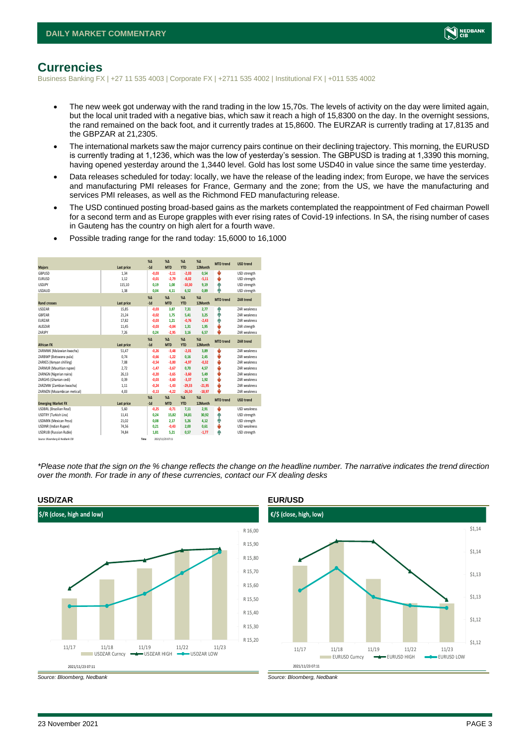

### <span id="page-2-0"></span>**Currencies**

Business Banking FX | +27 11 535 4003 | Corporate FX | +2711 535 4002 | Institutional FX | +011 535 4002

- The new week got underway with the rand trading in the low 15,70s. The levels of activity on the day were limited again, but the local unit traded with a negative bias, which saw it reach a high of 15,8300 on the day. In the overnight sessions, the rand remained on the back foot, and it currently trades at 15,8600. The EURZAR is currently trading at 17,8135 and the GBPZAR at 21,2305.
- The international markets saw the major currency pairs continue on their declining trajectory. This morning, the EURUSD is currently trading at 1,1236, which was the low of yesterday's session. The GBPUSD is trading at 1,3390 this morning, having opened yesterday around the 1,3440 level. Gold has lost some USD40 in value since the same time yesterday.
- Data releases scheduled for today: locally, we have the release of the leading index; from Europe, we have the services and manufacturing PMI releases for France, Germany and the zone; from the US, we have the manufacturing and services PMI releases, as well as the Richmond FED manufacturing release.
- The USD continued posting broad-based gains as the markets contemplated the reappointment of Fed chairman Powell for a second term and as Europe grapples with ever rising rates of Covid-19 infections. In SA, the rising number of cases in Gauteng has the country on high alert for a fourth wave.

|  | Possible trading range for the rand today: 15,6000 to 16,1000 |  |  |  |  |
|--|---------------------------------------------------------------|--|--|--|--|
|--|---------------------------------------------------------------|--|--|--|--|

|                                 |            | X <sub>A</sub> | X <sub>A</sub>   | $\%$ $\Lambda$ | %          | <b>MTD</b> trend | <b>USD trend</b>    |
|---------------------------------|------------|----------------|------------------|----------------|------------|------------------|---------------------|
| <b>Majors</b>                   | Last price | $-1d$          | <b>MTD</b>       | <b>YTD</b>     | 12Month    |                  |                     |
| GBPUSD                          | 1,34       | $-0,03$        | $-2,11$          | $-2,03$        | 0,54       | s                | USD strength        |
| <b>EURUSD</b>                   | 1.12       | $-0.01$        | $-2.79$          | $-8,02$        | $-5,11$    | J                | USD strength        |
| <b>USDJPY</b>                   | 115,10     | 0.19           | 1.00             | $-10,30$       | 9,19       | ٠                | USD strength        |
| <b>USDAUD</b>                   | 1,38       | 0,04           | 4,11             | 6,52           | 0,89       | Φ                | USD strength        |
|                                 |            | X <sub>A</sub> | X <sub>A</sub>   | $% \Delta$     | $% \Delta$ | <b>MTD</b> trend | ZAR trend           |
| <b>Rand crosses</b>             | Last price | $-1d$          | <b>MTD</b>       | <b>YTD</b>     | 12Month    |                  |                     |
| <b>USDZAR</b>                   | 15,85      | $-0.03$        | 3,87             | 7,31           | 2.77       | ٠                | <b>7AR</b> weakness |
| GBPZAR                          | 21,24      | $-0,02$        | 1,75             | 5,41           | 3,25       | ٠                | ZAR weakness        |
| FUR7AR                          | 17,82      | $-0.03$        | 1.21             | $-0,76$        | $-2,43$    | ٠                | <b>7AR</b> weakness |
| AUD7AR                          | 11,45      | $-0.03$        | $-0,04$          | 1,31           | 1,95       | s                | ZAR strength        |
| ZARJPY                          | 7,26       | 0,24           | $-2,95$          | 3,16           | 6,57       | J                | ZAR weakness        |
|                                 |            | $X\Delta$      | $X\Delta$        | $% \Delta$     | %          | <b>MTD</b> trend | ZAR trend           |
| <b>African FX</b>               | Last price | $-1d$          | <b>MTD</b>       | <b>YTD</b>     | 12Month    |                  |                     |
| ZARMWK (Malawian kwacha)        | 51.47      | $-0.26$        | $-3,48$          | $-2,01$        | 3,89       | s                | <b>7AR</b> weakness |
| ZARBWP (Botswana pula)          | 0,74       | $-0,66$        | $-1,22$          | 0,16           | 2,45       | v                | <b>7AR</b> weakness |
| ZARKES (Kenyan shilling)        | 7,08       | $-0,54$        | $-3,00$          | $-4,97$        | $-0,32$    | ψ                | ZAR weakness        |
| ZARMUR (Mauritian rupee)        | 2.72       | $-1.47$        | $-3.67$          | 0,70           | 4,57       | v                | <b>7AR</b> weakness |
| ZARNGN (Nigerian naira)         | 26,13      | $-0,20$        | $-3,65$          | $-3,60$        | 5,49       | ÷                | <b>7AR</b> weakness |
| ZARGHS (Ghanian cedi)           | 0.39       | $-0.03$        | $-3.60$          | $-3.37$        | 1.92       | J                | <b>7AR</b> weakness |
| ZARZMW (Zambian kwacha)         | 1,11       | $-0.24$        | $-1,43$          | $-29,33$       | $-21,95$   | s                | <b>7AR</b> weakness |
| ZARMZN (Mozambican metical)     | 4,03       | $-0,13$        | $-4,22$          | $-26,50$       | $-18,97$   | ı                | ZAR weakness        |
|                                 |            | $X\Delta$      | $X\Delta$        | $% \Delta$     | $% \Delta$ | <b>MTD</b> trend | <b>USD</b> trend    |
| <b>Emerging Market FX</b>       | Last price | $-1d$          | <b>MTD</b>       | <b>YTD</b>     | 12Month    |                  |                     |
| <b>USDBRL</b> (Brazilian Real)  | 5,60       | $-0.25$        | $-0,71$          | 7,11           | 2,91       | ÷                | <b>USD</b> weakness |
| USDTRY (Turkish Lira)           | 11,41      | 0,24           | 15,82            | 34,81          | 30,92      | ٠                | USD strength        |
| <b>USDMXN</b> (Mexican Peso)    | 21,02      | 0.08           | 2.17             | 5,26           | 4,12       | ٠                | USD strength        |
| USDINR (Indian Rupee)           | 74,56      | 0,21           | $-0,43$          | 2,00           | 0,61       | v                | USD weakness        |
| <b>USDRUB (Russian Ruble)</b>   | 74.84      | 1.81           | 5.21             | 0,57           | $-1.77$    | ۸                | USD strength        |
| Source: Bloomberg & Nedbank CIB | Time       |                | 2021/11/23 07:11 |                |            |                  |                     |

*\*Please note that the sign on the % change reflects the change on the headline number. The narrative indicates the trend direction over the month. For trade in any of these currencies, contact our FX dealing desks*





*Source: Bloomberg, Nedbank Source: Bloomberg, Nedbank*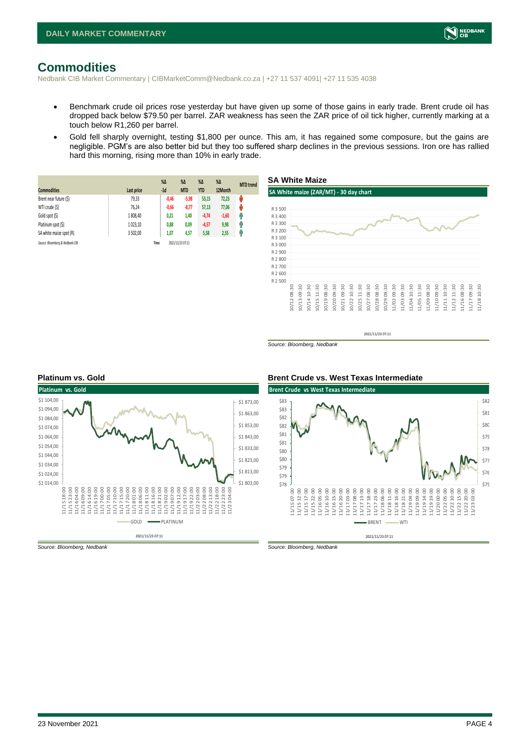

## <span id="page-3-0"></span>**Commodities**

Nedbank CIB Market Commentary | CIBMarketComm@Nedbank.co.za | +27 11 537 4091| +27 11 535 4038

- Benchmark crude oil prices rose yesterday but have given up some of those gains in early trade. Brent crude oil has dropped back below \$79.50 per barrel. ZAR weakness has seen the ZAR price of oil tick higher, currently marking at a touch below R1,260 per barrel.
- Gold fell sharply overnight, testing \$1,800 per ounce. This am, it has regained some composure, but the gains are negligible. PGM's are also better bid but they too suffered sharp declines in the previous sessions. Iron ore has rallied hard this morning, rising more than 10% in early trade.

|                                 |            | $%$ $\Delta$ | $% \Delta$       | $%$ $\Delta$ | $\%$ $\Delta$ | <b>MTD</b> trend |
|---------------------------------|------------|--------------|------------------|--------------|---------------|------------------|
| <b>Commodities</b>              | Last price | $-1d$        | <b>MTD</b>       | <b>YTD</b>   | 12Month       |                  |
| Brent near future (\$)          | 79,33      | $-0,46$      | $-5,98$          | 53,15        | 72.23         | ψ                |
| WTI crude (\$)                  | 76,24      | $-0,66$      | $-8,77$          | 57,13        | 77,06         | ŵ                |
| Gold spot (\$)                  | 1808.40    | 0,21         | 1,40             | $-4,74$      | $-1,60$       | 4                |
| Platinum spot (\$)              | 1023.10    | 0,88         | 0,09             | $-4,57$      | 9,98          | η,               |
| SA white maize spot (R)         | 3 502,00   | 1,07         | 4,57             | 5,58         | 2,55          | л                |
| Source: Bloomberg & Nedbank CIB |            | Time         | 2021/11/23 07:11 |              |               |                  |



2021/11/23 07:11





*Source: Bloomberg, Nedbank Source: Bloomberg, Nedbank*

*Source: Bloomberg, Nedbank*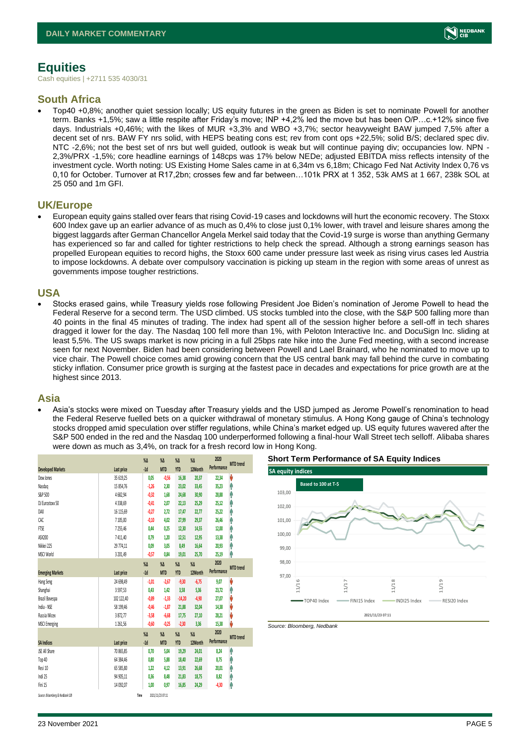

## <span id="page-4-0"></span>**Equities**

Cash equities | +2711 535 4030/31

### **South Africa**

• Top40 +0,8%; another quiet session locally; US equity futures in the green as Biden is set to nominate Powell for another term. Banks +1,5%; saw a little respite after Friday's move; INP +4,2% led the move but has been O/P…c.+12% since five days. Industrials +0,46%; with the likes of MUR +3,3% and WBO +3,7%; sector heavyweight BAW jumped 7,5% after a decent set of nrs. BAW FY nrs solid, with HEPS beating cons est; rev from cont ops +22,5%; solid B/S; declared spec div. NTC -2,6%; not the best set of nrs but well guided, outlook is weak but will continue paying div; occupancies low. NPN - 2,3%/PRX -1,5%; core headline earnings of 148cps was 17% below NEDe; adjusted EBITDA miss reflects intensity of the investment cycle. Worth noting: US Existing Home Sales came in at 6,34m vs 6,18m; Chicago Fed Nat Activity Index 0,76 vs 0,10 for October. Turnover at R17,2bn; crosses few and far between…101k PRX at 1 352, 53k AMS at 1 667, 238k SOL at 25 050 and 1m GFI.

#### **UK/Europe**

• European equity gains stalled over fears that rising Covid-19 cases and lockdowns will hurt the economic recovery. The Stoxx 600 Index gave up an earlier advance of as much as 0,4% to close just 0,1% lower, with travel and leisure shares among the biggest laggards after German Chancellor Angela Merkel said today that the Covid-19 surge is worse than anything Germany has experienced so far and called for tighter restrictions to help check the spread. Although a strong earnings season has propelled European equities to record highs, the Stoxx 600 came under pressure last week as rising virus cases led Austria to impose lockdowns. A debate over compulsory vaccination is picking up steam in the region with some areas of unrest as governments impose tougher restrictions.

#### **USA**

• Stocks erased gains, while Treasury yields rose following President Joe Biden's nomination of Jerome Powell to head the Federal Reserve for a second term. The USD climbed. US stocks tumbled into the close, with the S&P 500 falling more than 40 points in the final 45 minutes of trading. The index had spent all of the session higher before a sell-off in tech shares dragged it lower for the day. The Nasdaq 100 fell more than 1%, with Peloton Interactive Inc. and DocuSign Inc. sliding at least 5,5%. The US swaps market is now pricing in a full 25bps rate hike into the June Fed meeting, with a second increase seen for next November. Biden had been considering between Powell and Lael Brainard, who he nominated to move up to vice chair. The Powell choice comes amid growing concern that the US central bank may fall behind the curve in combating sticky inflation. Consumer price growth is surging at the fastest pace in decades and expectations for price growth are at the highest since 2013.

#### **Asia**

• Asia's stocks were mixed on Tuesday after Treasury yields and the USD jumped as Jerome Powell's renomination to head the Federal Reserve fuelled bets on a quicker withdrawal of monetary stimulus. A Hong Kong gauge of China's technology stocks dropped amid speculation over stiffer regulations, while China's market edged up. US equity futures wavered after the S&P 500 ended in the red and the Nasdaq 100 underperformed following a final-hour Wall Street tech selloff. Alibaba shares were down as much as 3,4%, on track for a fresh record low in Hong Kong.

|                                 |            | $\%$ $\Delta$    | $\%$ $\Delta$    | $\%$ $\Delta$ | $\%$          | 2020        | <b>MTD</b> trend |
|---------------------------------|------------|------------------|------------------|---------------|---------------|-------------|------------------|
| <b>Developed Markets</b>        | Last price | $-1d$            | <b>MTD</b>       | <b>YTD</b>    | 12Month       | Performance |                  |
| Dow Jones                       | 35 619.25  | 0,05             | $-0,56$          | 16,38         | 20,37         | 22,34       | V                |
| Nasdao                          | 15 854.76  | $-1,26$          | 2.30             | 23,02         | 33,45         | 35,23       | Λ                |
| S&P 500                         | 4682,94    | $-0.32$          | 1.68             | 24,68         | 30,90         | 28,88       | Α                |
| DJ Eurostoxx 50                 | 4338,69    | $-0.41$          | 2.07             | 22,13         | 25,29         | 25,12       | ٨                |
| DAX                             | 16 115,69  | $-0,27$          | 2,72             | 17,47         | 22,77         | 25,22       | Α                |
| CAC                             | 7 105,00   | $-0,10$          | 4.02             | 27,99         | 29,37         | 26,46       | Α                |
| FTSE                            | 7255,46    | 0,44             | 0,25             | 12,30         | 14,55         | 12,00       | Λ                |
| ASX200                          | 7411,40    | 0,79             | 1,20             | 12,51         | 12,95         | 13,38       | Α                |
| Nikkei 225                      | 29 774.11  | 0,09             | 3,05             | 8,49          | 16,64         | 20,93       | Α                |
| MSCI World                      | 3 201,49   | $-0,57$          | 0,84             | 19,01         | 25,70         | 25,19       | ٨                |
|                                 |            | $\sqrt{\Lambda}$ | $\%$ $\Delta$    | $\%$ $\Delta$ | $\%$ $\Delta$ | 2020        |                  |
| <b>Emerging Markets</b>         | Last price | $-1d$            | <b>MTD</b>       | <b>YTD</b>    | 12Month       | Performance | <b>MTD</b> trend |
| Hang Seng                       | 24 698,49  | $-1,01$          | $-2,67$          | $-9,30$       | $-6,75$       | 9,07        | V                |
| Shanghai                        | 3597,53    | 0,43             | 1,42             | 3,58          | 5,36          | 23,72       | h                |
| Brazil Bovespa                  | 102 122,40 | $-0,89$          | $-1,33$          | $-14,20$      | $-4,90$       | 27.07       | V                |
| India - NSE                     | 58 199,46  | $-0.46$          | $-1,87$          | 21,88         | 32,04         | 14,38       | V                |
| Russia Micex                    | 3872,77    | $-3,58$          | $-6,68$          | 17,75         | 27,10         | 28,21       | V                |
| <b>MSCI Emerging</b>            | 1261,56    | $-0,60$          | $-0.25$          | $-2,30$       | 3,36          | 15,38       | U                |
|                                 |            | $\%$             | $\%$ $\Delta$    | $\%$ $\Delta$ | $\%$ $\Delta$ | 2020        |                  |
| <b>SA Indices</b>               | Last price | $-1d$            | <b>MTD</b>       | <b>YTD</b>    | 12Month       | Performance | <b>MTD</b> trend |
| JSE All Share                   | 70 865.85  | 0,70             | 5,04             | 19,29         | 24,01         | 8,24        | ٨                |
| Top 40                          | 64 384,46  | 0,80             | 5,88             | 18,40         | 22,69         | 8,75        | Λ                |
| Resi 10                         | 65 585,80  | 1.22             | 4.12             | 13,91         | 26,68         | 20,01       | Α                |
| Indi 25                         | 94 905.11  | 0.36             | 8.48             | 21,83         | 18,75         | 8,82        | Ĥ                |
| Fini 15                         | 14 092,07  | 1,00             | 0,97             | 16,85         | 24,29         | $-4,30$     | φ                |
| Source: Bloomberg & Nedbank CIB |            | Time             | 2021/11/23 07:11 |               |               |             |                  |





*Source: Bloomberg, Nedbank*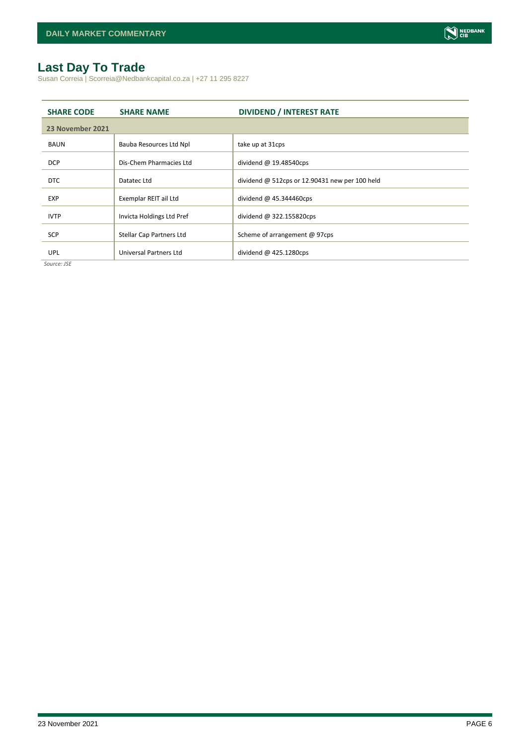## <span id="page-5-0"></span>**Last Day To Trade**

Susan Correia | Scorreia@Nedbankcapital.co.za | +27 11 295 8227

| <b>SHARE CODE</b> | <b>SHARE NAME</b>         | <b>DIVIDEND / INTEREST RATE</b>                       |
|-------------------|---------------------------|-------------------------------------------------------|
| 23 November 2021  |                           |                                                       |
| <b>BAUN</b>       | Bauba Resources Ltd Npl   | take up at 31cps                                      |
| <b>DCP</b>        | Dis-Chem Pharmacies Ltd   | dividend $@$ 19.48540cps                              |
| <b>DTC</b>        | Datatec Ltd               | dividend $\omega$ 512cps or 12.90431 new per 100 held |
| <b>EXP</b>        | Exemplar REIT ail Ltd     | dividend $@$ 45.344460cps                             |
| <b>IVTP</b>       | Invicta Holdings Ltd Pref | dividend @ 322.155820cps                              |
| <b>SCP</b>        | Stellar Cap Partners Ltd  | Scheme of arrangement @ 97cps                         |
| UPL               | Universal Partners Ltd    | dividend $@$ 425.1280cps                              |

*Source: JSE*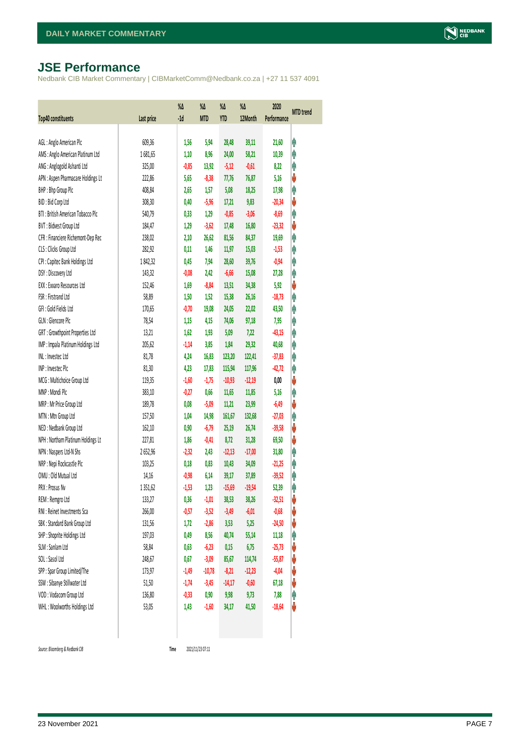## <span id="page-6-0"></span>**JSE Performance**

Nedbank CIB Market Commentary | CIBMarketComm@Nedbank.co.za | +27 11 537 4091

| <b>Top40 constituents</b>          | Last price | %Δ<br>$-1d$ | %Δ<br><b>MTD</b> | %Δ<br>YTD | $\%$<br>12Month | 2020<br>Performance | <b>MTD</b> trend |
|------------------------------------|------------|-------------|------------------|-----------|-----------------|---------------------|------------------|
|                                    |            |             |                  |           |                 |                     |                  |
| AGL: Anglo American Plc            | 609,36     | 1,56        | 5,94             | 28,48     | 39,11           | 21,60               | Ĥ                |
| AMS: Anglo American Platinum Ltd   | 1681,65    | 1,10        | 8,96             | 24,00     | 58,21           | 10,39               | Ą                |
| ANG: Anglogold Ashanti Ltd         | 325,00     | $-0,85$     | 13,92            | $-5,12$   | $-0,61$         | 8,22                | φ                |
| APN : Aspen Pharmacare Holdings Lt | 222,86     | 5,65        | $-8,38$          | 77,76     | 76,87           | 5,16                | ♦                |
| BHP: Bhp Group Plc                 | 408,84     | 2,65        | 1,57             | 5,08      | 18,25           | 17,98               | Ą                |
| BID: Bid Corp Ltd                  | 308,30     | 0,40        | $-5,96$          | 17,21     | 9,83            | $-20,34$            | ♦                |
| BTI: British American Tobacco Plc  | 540,79     | 0,33        | 1,29             | $-0,85$   | $-3,06$         | $-8,69$             | φ                |
| BVT: Bidvest Group Ltd             | 184,47     | 1,29        | $-3,62$          | 17,48     | 16,80           | $-23,32$            | V                |
| CFR : Financiere Richemont-Dep Rec | 238,02     | 2,10        | 26,62            | 81,56     | 84,37           | 19,69               | φ                |
| CLS : Clicks Group Ltd             | 282,92     | 0,11        | 1,46             | 11,97     | 15,03           | $-1,53$             | φ                |
| CPI : Capitec Bank Holdings Ltd    | 1842,32    | 0,45        | 7,94             | 28,60     | 39,76           | $-0,94$             | φ                |
| DSY: Discovery Ltd                 | 143,32     | $-0,08$     | 2,42             | $-6,66$   | 15,08           | 27,28               | φ                |
| EXX : Exxaro Resources Ltd         | 152,46     | 1,69        | $-8,84$          | 13,51     | 34,38           | 5,92                | V                |
| FSR: Firstrand Ltd                 | 58,89      | 1,50        | 1,52             | 15,38     | 26,16           | $-18,73$            | φ                |
| GFI: Gold Fields Ltd               | 170,65     | $-0,70$     | 19,08            | 24,05     | 22,02           | 43,50               | φ                |
| GLN : Glencore Plc                 | 78,54      | 1,15        | 4,15             | 74,06     | 97,18           | 7,95                | φ                |
| GRT : Growthpoint Properties Ltd   | 13,21      | 1,62        | 1,93             | 5,09      | 7,22            | $-43,15$            | φ                |
| IMP : Impala Platinum Holdings Ltd | 205,62     | $-1,14$     | 3,85             | 1,84      | 29,32           | 40,68               | φ                |
| INL: Investec Ltd                  | 81,78      | 4,24        | 16,83            | 123,20    | 122,41          | $-37,83$            | φ                |
| INP: Invested Plc                  | 81,30      | 4,23        | 17,83            | 115,94    | 117,96          | $-42,72$            | φ                |
| MCG: Multichoice Group Ltd         | 119,35     | $-1,60$     | $-1,75$          | $-10,93$  | $-12,19$        | 0,00                | ♦                |
| MNP: Mondi Plc                     | 383,10     | $-0,27$     | 0,66             | 11,65     | 11,85           | 5,16                | φ                |
| MRP : Mr Price Group Ltd           | 189,78     | 0,08        | $-5,09$          | 11,21     | 23,99           | $-6,49$             | ♦                |
| MTN: Mtn Group Ltd                 | 157,50     | 1,04        | 14,98            | 161,67    | 132,68          | $-27,03$            | φ                |
| NED: Nedbank Group Ltd             | 162,10     | 0,90        | $-6,79$          | 25,19     | 26,74           | $-39,58$            | V                |
| NPH : Northam Platinum Holdings Lt | 227,81     | 1,86        | $-0,41$          | 8,72      | 31,28           | 69,50               | V                |
| NPN : Naspers Ltd-N Shs            | 2652,96    | $-2,32$     | 2,43             | $-12,13$  | $-17,00$        | 31,80               | φ                |
| NRP : Nepi Rockcastle Plc          | 103,25     | 0,18        | 0,83             | 10,43     | 34,09           | $-21,25$            | φ                |
| OMU : Old Mutual Ltd               | 14,16      | $-0,98$     | 6,14             | 39,17     | 37,89           | $-39,52$            | Λ                |
| PRX: Prosus Nv                     | 1351,62    | $-1,53$     | 1,23             | $-15,69$  | $-19,54$        | 52,39               | φ                |
| REM : Remgro Ltd                   | 133,27     | 0,36        | $-1,01$          | 38,53     | 38,26           | $-32,51$            | V                |
| RNI : Reinet Investments Sca       | 266,00     | $-0,57$     | $-3,52$          | $-3,49$   | $-6,01$         | $-0,68$             | V                |
| SBK: Standard Bank Group Ltd       | 131,56     | 1,72        | $-2,86$          | 3,53      | 5,25            | $-24,50$            | V                |
| SHP: Shoprite Holdings Ltd         | 197,03     | 0,49        | 8,56             | 40,74     | 55,14           | 11,18               | φ                |
| SLM : Sanlam Ltd                   | 58,84      | 0,63        | $-6,23$          | 0,15      | 6,75            | $-25,73$            | V                |
| SOL: Sasol Ltd                     | 248,67     | 0,67        | $-3,09$          | 85,67     | 114,74          | $-55,87$            | V                |
| SPP: Spar Group Limited/The        | 173,97     | $-1,49$     | $-10,78$         | $-8,21$   | $-12,23$        | $-4,04$             | V                |
| SSW : Sibanye Stillwater Ltd       | 51,50      | $-1,74$     | $-3,45$          | $-14,17$  | $-0,60$         | 67,18               | V                |
| VOD: Vodacom Group Ltd             | 136,80     | $-0,33$     | 0,90             | 9,98      | 9,73            | 7,88                | φ                |
| WHL: Woolworths Holdings Ltd       | 53,05      | 1,43        | $-1,60$          | 34,17     | 41,50           | $-18,64$            | U                |
|                                    |            |             |                  |           |                 |                     |                  |

 $Source: Bloomberg & Nedbank *CB*$ 

Time 2021/11/23 07:11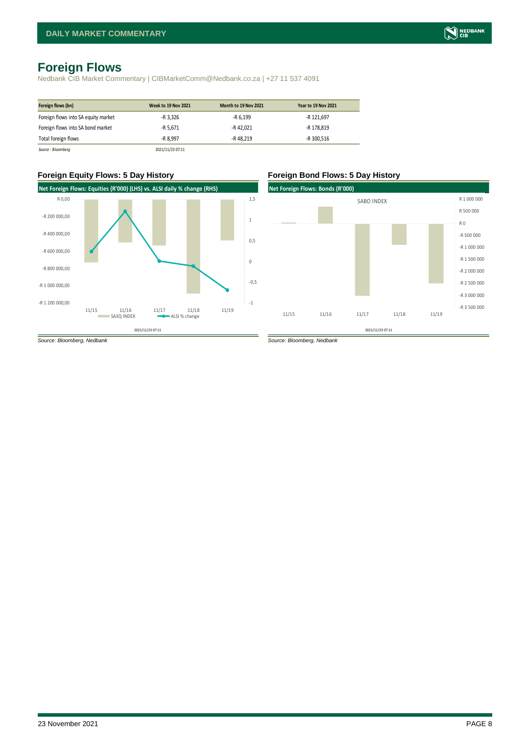## <span id="page-7-0"></span>**Foreign Flows**

Nedbank CIB Market Commentary | CIBMarketComm@Nedbank.co.za | +27 11 537 4091

| Foreign flows (bn)                  | <b>Week to 19 Nov 2021</b> | Month to 19 Nov 2021 | <b>Year to 19 Nov 2021</b> |
|-------------------------------------|----------------------------|----------------------|----------------------------|
| Foreign flows into SA equity market | -R 3,326                   | -R 6,199             | -R 121,697                 |
| Foreign flows into SA bond market   | -R 5.671                   | -R 42.021            | -R 178.819                 |
| Total foreign flows                 | -R 8.997                   | -R 48.219            | -R 300.516                 |
| Source : Bloombera                  | 2021/11/23 07:11           |                      |                            |

#### **Foreign Equity Flows: 5 Day History Foreign Bond Flows: 5 Day History**



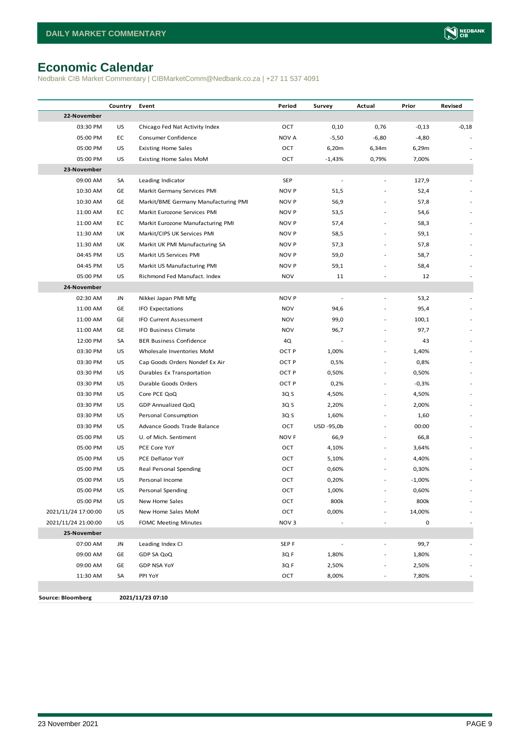## <span id="page-8-0"></span>**Economic Calendar**

Nedbank CIB Market Commentary | CIBMarketComm@Nedbank.co.za | +27 11 537 4091

|                          | Country | Event                                | Period           | Survey         | Actual                   | Prior       | Revised |
|--------------------------|---------|--------------------------------------|------------------|----------------|--------------------------|-------------|---------|
| 22-November              |         |                                      |                  |                |                          |             |         |
| 03:30 PM                 | US      | Chicago Fed Nat Activity Index       | OCT              | 0,10           | 0,76                     | $-0,13$     | $-0,18$ |
| 05:00 PM                 | EC      | Consumer Confidence                  | <b>NOV A</b>     | $-5,50$        | $-6,80$                  | $-4,80$     |         |
| 05:00 PM                 | US      | <b>Existing Home Sales</b>           | OCT              | 6,20m          | 6,34m                    | 6,29m       |         |
| 05:00 PM                 | US      | Existing Home Sales MoM              | OCT              | $-1,43%$       | 0,79%                    | 7,00%       |         |
| 23-November              |         |                                      |                  |                |                          |             |         |
| 09:00 AM                 | SA      | Leading Indicator                    | SEP              |                |                          | 127,9       |         |
| 10:30 AM                 | GE      | Markit Germany Services PMI          | <b>NOV P</b>     | 51,5           |                          | 52,4        |         |
| 10:30 AM                 | GE      | Markit/BME Germany Manufacturing PMI | NOV P            | 56,9           |                          | 57,8        |         |
| 11:00 AM                 | EC      | Markit Eurozone Services PMI         | NOV P            | 53,5           |                          | 54,6        |         |
| 11:00 AM                 | EC      | Markit Eurozone Manufacturing PMI    | NOV P            | 57,4           |                          | 58,3        |         |
| 11:30 AM                 | UK      | Markit/CIPS UK Services PMI          | NOV P            | 58,5           |                          | 59,1        |         |
| 11:30 AM                 | UK      | Markit UK PMI Manufacturing SA       | NOV P            | 57,3           |                          | 57,8        |         |
| 04:45 PM                 | US      | Markit US Services PMI               | NOV P            | 59,0           |                          | 58,7        |         |
| 04:45 PM                 | US      | Markit US Manufacturing PMI          | NOV P            | 59,1           |                          | 58,4        |         |
| 05:00 PM                 | US      | Richmond Fed Manufact, Index         | <b>NOV</b>       | 11             |                          | 12          |         |
| 24-November              |         |                                      |                  |                |                          |             |         |
| 02:30 AM                 | JN      | Nikkei Japan PMI Mfg                 | <b>NOV P</b>     |                |                          | 53,2        |         |
| 11:00 AM                 | GE      | IFO Expectations                     | <b>NOV</b>       | 94,6           |                          | 95,4        |         |
| 11:00 AM                 | GE      | IFO Current Assessment               | NOV              | 99,0           |                          | 100,1       |         |
| 11:00 AM                 | GE      | IFO Business Climate                 | <b>NOV</b>       | 96,7           |                          | 97,7        |         |
| 12:00 PM                 | SA      | <b>BER Business Confidence</b>       | 4Q               |                |                          | 43          |         |
| 03:30 PM                 | US      | Wholesale Inventories MoM            | OCT P            | 1,00%          | $\overline{\phantom{a}}$ | 1,40%       |         |
| 03:30 PM                 | US      | Cap Goods Orders Nondef Ex Air       | OCT P            | 0,5%           | $\overline{\phantom{a}}$ | 0,8%        |         |
| 03:30 PM                 | US      | Durables Ex Transportation           | OCT P            | 0,50%          |                          | 0,50%       |         |
| 03:30 PM                 | US      | Durable Goods Orders                 | OCT P            | 0,2%           |                          | $-0,3%$     |         |
| 03:30 PM                 | US      | Core PCE QoQ                         | 3Q S             | 4,50%          | $\sim$                   | 4,50%       |         |
| 03:30 PM                 | US      | GDP Annualized QoQ                   | 3Q S             | 2,20%          | $\sim$                   | 2,00%       |         |
| 03:30 PM                 | US      | Personal Consumption                 | 3Q S             | 1,60%          | $\sim$                   | 1,60        |         |
| 03:30 PM                 | US      | Advance Goods Trade Balance          | OCT              | USD -95,0b     |                          | 00:00       |         |
| 05:00 PM                 | US      | U. of Mich. Sentiment                | NOV <sub>F</sub> | 66,9           | $\sim$                   | 66,8        |         |
| 05:00 PM                 | US      | PCE Core YoY                         | OCT              | 4,10%          | $\overline{\phantom{a}}$ | 3,64%       |         |
| 05:00 PM                 | US      | PCE Deflator YoY                     | OCT              | 5,10%          | $\overline{\phantom{a}}$ | 4,40%       |         |
| 05:00 PM                 | US      | Real Personal Spending               | ост              | 0,60%          |                          | 0,30%       |         |
| 05:00 PM                 | US      | Personal Income                      | ост              | 0,20%          |                          | $-1,00%$    |         |
| 05:00 PM                 | US      | Personal Spending                    | OCT              | 1,00%          |                          | 0,60%       |         |
| 05:00 PM                 | US      | New Home Sales                       | OCT              | 800k           |                          | 800k        |         |
| 2021/11/24 17:00:00      | US      | New Home Sales MoM                   | OCT              | 0,00%          |                          | 14,00%      |         |
| 2021/11/24 21:00:00      | US      | <b>FOMC Meeting Minutes</b>          | NOV <sub>3</sub> |                |                          | $\mathsf 0$ |         |
| 25-November              |         |                                      |                  |                |                          |             |         |
| 07:00 AM                 | JN      | Leading Index CI                     | SEP <sub>F</sub> | $\blacksquare$ | ÷,                       | 99,7        |         |
| 09:00 AM                 | GE      | GDP SA QoQ                           | 3QF              | 1,80%          |                          | 1,80%       |         |
| 09:00 AM                 | GE      | <b>GDP NSA YoY</b>                   | 3Q F             | 2,50%          |                          | 2,50%       |         |
| 11:30 AM                 | SA      | PPI YoY                              | OCT              | 8,00%          |                          | 7,80%       |         |
|                          |         |                                      |                  |                |                          |             |         |
| <b>Source: Bloomberg</b> |         | 2021/11/23 07:10                     |                  |                |                          |             |         |